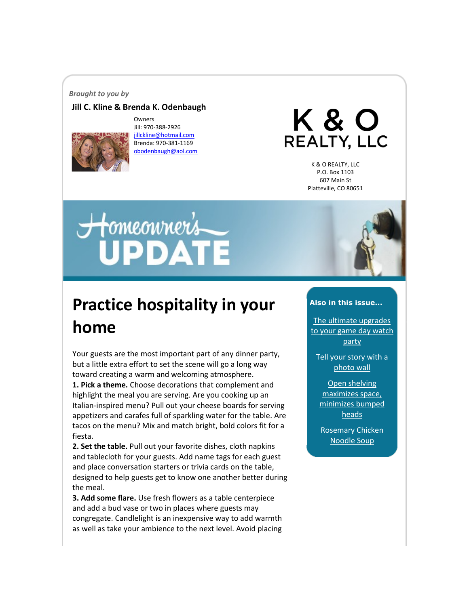#### *Brought to you by*

#### **Jill C. Kline & Brenda K. Odenbaugh**



Owners Jill: 970-388-2926 [jillckline@hotmail.com](mailto:jillckline@hotmail.com) Brenda: 970-381-1169 [obodenbaugh@aol.com](mailto:obodenbaugh@aol.com)

K & O **REALTY, LLC** 

> K & O REALTY, LLC P.O. Box 1103 607 Main St Platteville, CO 80651

# Homeonner's



## **Practice hospitality in your home**

Your guests are the most important part of any dinner party, but a little extra effort to set the scene will go a long way toward creating a warm and welcoming atmosphere. **1. Pick a theme.** Choose decorations that complement and highlight the meal you are serving. Are you cooking up an Italian-inspired menu? Pull out your cheese boards for serving appetizers and carafes full of sparkling water for the table. Are tacos on the menu? Mix and match bright, bold colors fit for a fiesta.

**2. Set the table.** Pull out your favorite dishes, cloth napkins and tablecloth for your guests. Add name tags for each guest and place conversation starters or trivia cards on the table, designed to help guests get to know one another better during the meal.

**3. Add some flare.** Use fresh flowers as a table centerpiece and add a bud vase or two in places where guests may congregate. Candlelight is an inexpensive way to add warmth as well as take your ambience to the next level. Avoid placing

#### **Also in this issue...**

[The ultimate upgrades](#page-1-0)  [to your game day watch](#page-1-0)  [party](#page-1-0)

[Tell your story with a](#page-1-1)  [photo wall](#page-1-1)

[Open shelving](#page-2-0)  [maximizes space,](#page-2-0)  [minimizes bumped](#page-2-0)  [heads](#page-2-0)

[Rosemary Chicken](#page-3-0)  [Noodle Soup](#page-3-0)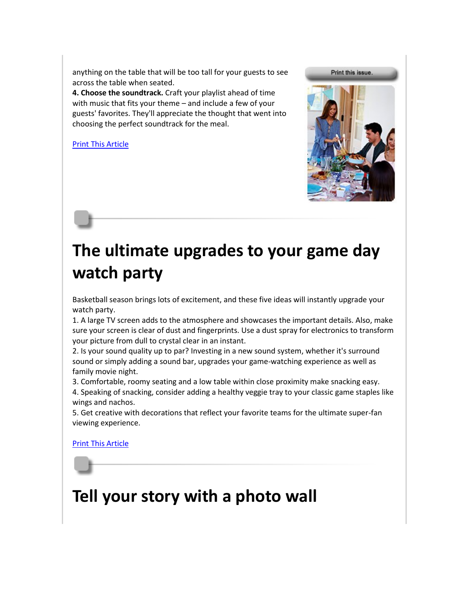anything on the table that will be too tall for your guests to see across the table when seated.

**4. Choose the soundtrack.** Craft your playlist ahead of time with music that fits your theme – and include a few of your guests' favorites. They'll appreciate the thought that went into choosing the perfect soundtrack for the meal.

[Print This Article](http://www.tpmco.com/pmcwebdata/enewsletters/2018-02/3514166_1.html)



## <span id="page-1-0"></span>**The ultimate upgrades to your game day watch party**

Basketball season brings lots of excitement, and these five ideas will instantly upgrade your watch party.

1. A large TV screen adds to the atmosphere and showcases the important details. Also, make sure your screen is clear of dust and fingerprints. Use a dust spray for electronics to transform your picture from dull to crystal clear in an instant.

2. Is your sound quality up to par? Investing in a new sound system, whether it's surround sound or simply adding a sound bar, upgrades your game-watching experience as well as family movie night.

3. Comfortable, roomy seating and a low table within close proximity make snacking easy.

4. Speaking of snacking, consider adding a healthy veggie tray to your classic game staples like wings and nachos.

5. Get creative with decorations that reflect your favorite teams for the ultimate super-fan viewing experience.

[Print This Article](http://www.tpmco.com/pmcwebdata/enewsletters/2018-02/3514166_2.html)

## <span id="page-1-1"></span>**Tell your story with a photo wall**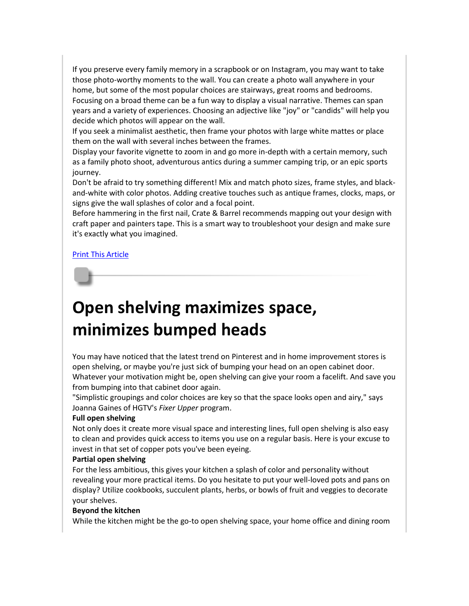If you preserve every family memory in a scrapbook or on Instagram, you may want to take those photo-worthy moments to the wall. You can create a photo wall anywhere in your home, but some of the most popular choices are stairways, great rooms and bedrooms. Focusing on a broad theme can be a fun way to display a visual narrative. Themes can span years and a variety of experiences. Choosing an adjective like "joy" or "candids" will help you decide which photos will appear on the wall.

If you seek a minimalist aesthetic, then frame your photos with large white mattes or place them on the wall with several inches between the frames.

Display your favorite vignette to zoom in and go more in-depth with a certain memory, such as a family photo shoot, adventurous antics during a summer camping trip, or an epic sports journey.

Don't be afraid to try something different! Mix and match photo sizes, frame styles, and blackand-white with color photos. Adding creative touches such as antique frames, clocks, maps, or signs give the wall splashes of color and a focal point.

Before hammering in the first nail, Crate & Barrel recommends mapping out your design with craft paper and painters tape. This is a smart way to troubleshoot your design and make sure it's exactly what you imagined.

#### [Print This Article](http://www.tpmco.com/pmcwebdata/enewsletters/2018-02/3514166_3.html)

## <span id="page-2-0"></span>**Open shelving maximizes space, minimizes bumped heads**

You may have noticed that the latest trend on Pinterest and in home improvement stores is open shelving, or maybe you're just sick of bumping your head on an open cabinet door. Whatever your motivation might be, open shelving can give your room a facelift. And save you from bumping into that cabinet door again.

"Simplistic groupings and color choices are key so that the space looks open and airy," says Joanna Gaines of HGTV's *Fixer Upper* program.

#### **Full open shelving**

Not only does it create more visual space and interesting lines, full open shelving is also easy to clean and provides quick access to items you use on a regular basis. Here is your excuse to invest in that set of copper pots you've been eyeing.

#### **Partial open shelving**

For the less ambitious, this gives your kitchen a splash of color and personality without revealing your more practical items. Do you hesitate to put your well-loved pots and pans on display? Utilize cookbooks, succulent plants, herbs, or bowls of fruit and veggies to decorate your shelves.

#### **Beyond the kitchen**

While the kitchen might be the go-to open shelving space, your home office and dining room